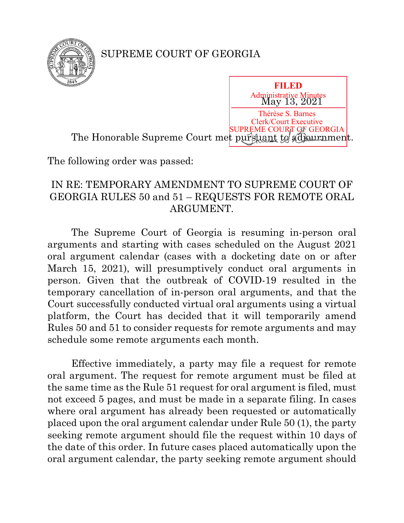

## SUPREME COURT OF GEORGIA

May 13, 2021 The Honorable Supreme Court met pursuant to adjournment. Thérèse S. Barnes Clerk/Court Executive SUPREME COURT OF GEORGIA

**FILED** Administrative Minutes

The following order was passed:

## IN RE: TEMPORARY AMENDMENT TO SUPREME COURT OF GEORGIA RULES 50 and 51 – REQUESTS FOR REMOTE ORAL ARGUMENT.

The Supreme Court of Georgia is resuming in-person oral arguments and starting with cases scheduled on the August 2021 oral argument calendar (cases with a docketing date on or after March 15, 2021), will presumptively conduct oral arguments in person. Given that the outbreak of COVID-19 resulted in the temporary cancellation of in-person oral arguments, and that the Court successfully conducted virtual oral arguments using a virtual platform, the Court has decided that it will temporarily amend Rules 50 and 51 to consider requests for remote arguments and may schedule some remote arguments each month.

Effective immediately, a party may file a request for remote oral argument. The request for remote argument must be filed at the same time as the Rule 51 request for oral argument is filed, must not exceed 5 pages, and must be made in a separate filing. In cases where oral argument has already been requested or automatically placed upon the oral argument calendar under Rule 50 (1), the party seeking remote argument should file the request within 10 days of the date of this order. In future cases placed automatically upon the oral argument calendar, the party seeking remote argument should